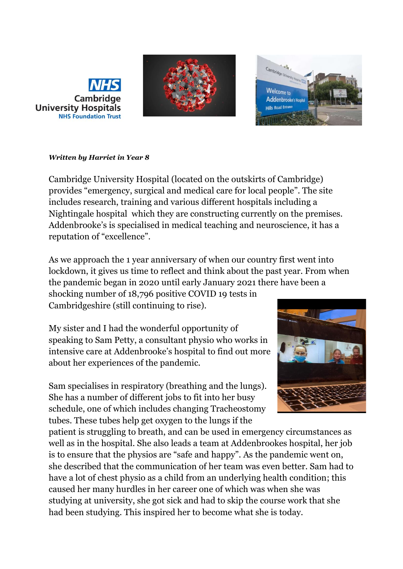





## *Written by Harriet in Year 8*

Cambridge University Hospital (located on the outskirts of Cambridge) provides "emergency, surgical and medical care for local people". The site includes research, training and various different hospitals including a Nightingale hospital which they are constructing currently on the premises. Addenbrooke's is specialised in medical teaching and neuroscience, it has a reputation of "excellence".

As we approach the 1 year anniversary of when our country first went into lockdown, it gives us time to reflect and think about the past year. From when the pandemic began in 2020 until early January 2021 there have been a shocking number of 18,796 positive COVID 19 tests in

Cambridgeshire (still continuing to rise).

My sister and I had the wonderful opportunity of speaking to Sam Petty, a consultant physio who works in intensive care at Addenbrooke's hospital to find out more about her experiences of the pandemic.

Sam specialises in respiratory (breathing and the lungs). She has a number of different jobs to fit into her busy schedule, one of which includes changing Tracheostomy tubes. These tubes help get oxygen to the lungs if the

patient is struggling to breath, and can be used in emergency circumstances as well as in the hospital. She also leads a team at Addenbrookes hospital, her job is to ensure that the physios are "safe and happy". As the pandemic went on, she described that the communication of her team was even better. Sam had to have a lot of chest physio as a child from an underlying health condition; this caused her many hurdles in her career one of which was when she was studying at university, she got sick and had to skip the course work that she had been studying. This inspired her to become what she is today.

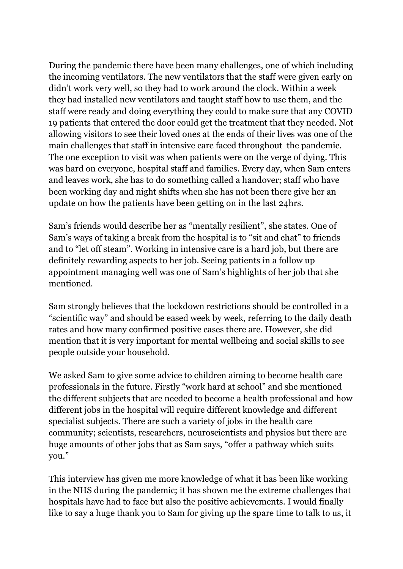During the pandemic there have been many challenges, one of which including the incoming ventilators. The new ventilators that the staff were given early on didn't work very well, so they had to work around the clock. Within a week they had installed new ventilators and taught staff how to use them, and the staff were ready and doing everything they could to make sure that any COVID 19 patients that entered the door could get the treatment that they needed. Not allowing visitors to see their loved ones at the ends of their lives was one of the main challenges that staff in intensive care faced throughout the pandemic. The one exception to visit was when patients were on the verge of dying. This was hard on everyone, hospital staff and families. Every day, when Sam enters and leaves work, she has to do something called a handover; staff who have been working day and night shifts when she has not been there give her an update on how the patients have been getting on in the last 24hrs.

Sam's friends would describe her as "mentally resilient", she states. One of Sam's ways of taking a break from the hospital is to "sit and chat" to friends and to "let off steam". Working in intensive care is a hard job, but there are definitely rewarding aspects to her job. Seeing patients in a follow up appointment managing well was one of Sam's highlights of her job that she mentioned.

Sam strongly believes that the lockdown restrictions should be controlled in a "scientific way" and should be eased week by week, referring to the daily death rates and how many confirmed positive cases there are. However, she did mention that it is very important for mental wellbeing and social skills to see people outside your household.

We asked Sam to give some advice to children aiming to become health care professionals in the future. Firstly "work hard at school" and she mentioned the different subjects that are needed to become a health professional and how different jobs in the hospital will require different knowledge and different specialist subjects. There are such a variety of jobs in the health care community; scientists, researchers, neuroscientists and physios but there are huge amounts of other jobs that as Sam says, "offer a pathway which suits you."

This interview has given me more knowledge of what it has been like working in the NHS during the pandemic; it has shown me the extreme challenges that hospitals have had to face but also the positive achievements. I would finally like to say a huge thank you to Sam for giving up the spare time to talk to us, it